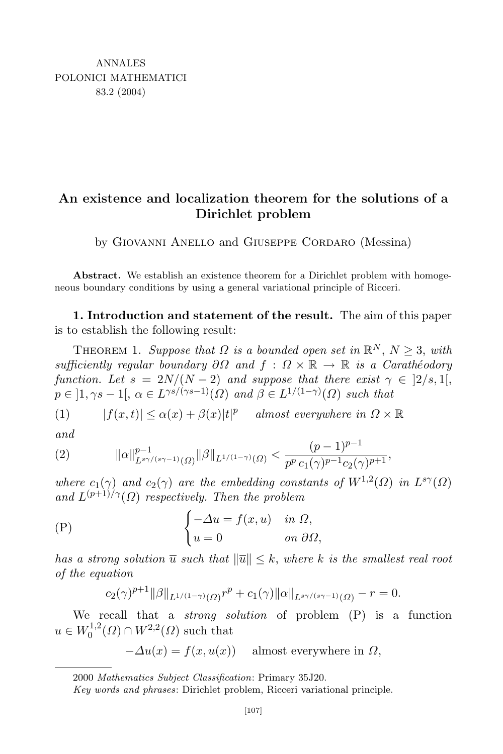## An existence and localization theorem for the solutions of a Dirichlet problem

by Giovanni Anello and Giuseppe Cordaro (Messina)

Abstract. We establish an existence theorem for a Dirichlet problem with homogeneous boundary conditions by using a general variational principle of Ricceri.

1. Introduction and statement of the result. The aim of this paper is to establish the following result:

THEOREM 1. Suppose that  $\Omega$  is a bounded open set in  $\mathbb{R}^N$ ,  $N \geq 3$ , with sufficiently regular boundary  $\partial\Omega$  and  $f: \Omega \times \mathbb{R} \to \mathbb{R}$  is a Carathéodory function. Let  $s = 2N/(N-2)$  and suppose that there exist  $\gamma \in [2/s, 1],$  $p \in \left] 1, \gamma s - 1 \right], \ \alpha \in L^{\gamma s/(\gamma s - 1)}(\Omega) \text{ and } \beta \in L^{1/(1 - \gamma)}(\Omega) \text{ such that}$ 

(1) 
$$
|f(x,t)| \leq \alpha(x) + \beta(x)|t|^p
$$
 almost everywhere in  $\Omega \times \mathbb{R}$ 

and

(2) 
$$
\|\alpha\|_{L^{s\gamma/(s\gamma-1)}(\Omega)}^{p-1} \|\beta\|_{L^{1/(1-\gamma)}(\Omega)} < \frac{(p-1)^{p-1}}{p^p c_1(\gamma)^{p-1} c_2(\gamma)^{p+1}},
$$

where  $c_1(\gamma)$  and  $c_2(\gamma)$  are the embedding constants of  $W^{1,2}(\Omega)$  in  $L^{s\gamma}(\Omega)$ and  $L^{(p+1)/\gamma}(\Omega)$  respectively. Then the problem

(P) 
$$
\begin{cases}\n-\Delta u = f(x, u) & \text{in } \Omega, \\
u = 0 & \text{on } \partial \Omega,\n\end{cases}
$$

has a strong solution  $\overline{u}$  such that  $\|\overline{u}\| \leq k$ , where k is the smallest real root of the equation

$$
c_2(\gamma)^{p+1} \|\beta\|_{L^{1/(1-\gamma)}(\Omega)} r^p + c_1(\gamma) \|\alpha\|_{L^{s\gamma/(s\gamma-1)}(\Omega)} - r = 0.
$$

We recall that a *strong solution* of problem  $(P)$  is a function  $u \in W_0^{1,2}$  $0^{(1,2)}(0) \cap W^{2,2}(\Omega)$  such that

$$
-\Delta u(x) = f(x, u(x)) \quad \text{ almost everywhere in } \Omega,
$$

2000 Mathematics Subject Classification: Primary 35J20.

Key words and phrases: Dirichlet problem, Ricceri variational principle.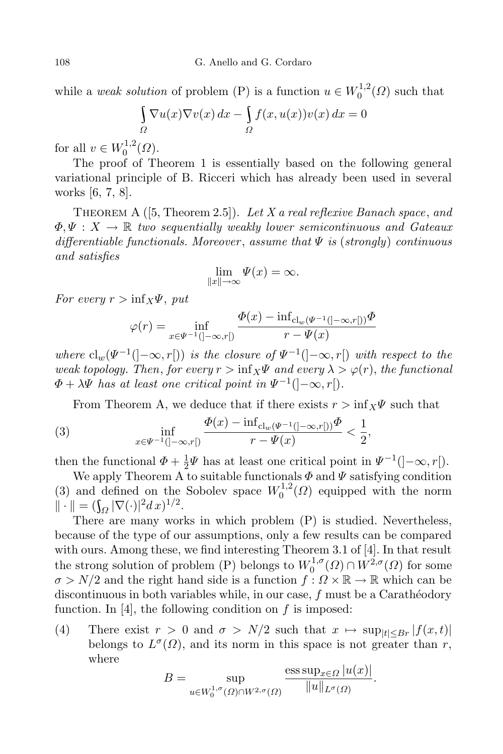while a *weak solution* of problem (P) is a function  $u \in W_0^{1,2}$  $_{0}^{\prime 1,2}(\Omega)$  such that

$$
\int_{\Omega} \nabla u(x) \nabla v(x) dx - \int_{\Omega} f(x, u(x)) v(x) dx = 0
$$

for all  $v \in W_0^{1,2}$  $_{0}^{\prime 1,2}(\Omega).$ 

The proof of Theorem 1 is essentially based on the following general variational principle of B. Ricceri which has already been used in several works [6, 7, 8].

THEOREM A  $([5, Theorem 2.5])$ . Let X a real reflexive Banach space, and  $\Phi, \Psi : X \to \mathbb{R}$  two sequentially weakly lower semicontinuous and Gateaux differentiable functionals. Moreover, assume that  $\Psi$  is (strongly) continuous and satisfies

$$
\lim_{\|x\|\to\infty}\Psi(x)=\infty.
$$

For every  $r > \inf_{X} \Psi$ , put

$$
\varphi(r) = \inf_{x \in \Psi^{-1}(]-\infty, r[)} \frac{\Phi(x) - \inf_{\text{cl}_w(\Psi^{-1}(]-\infty, r[))} \Phi}{r - \Psi(x)}
$$

where  $cl_w(\Psi^{-1}(\cdot-\infty,r])$  is the closure of  $\Psi^{-1}(\cdot-\infty,r])$  with respect to the weak topology. Then, for every  $r > \inf_{X} \Psi$  and every  $\lambda > \varphi(r)$ , the functional  $\Phi + \lambda \Psi$  has at least one critical point in  $\Psi^{-1}(\cdot | -\infty, r[).$ 

From Theorem A, we deduce that if there exists  $r > \inf_{X} \Psi$  such that

(3) 
$$
\inf_{x \in \Psi^{-1}(]-\infty, r[)} \frac{\Phi(x) - \inf_{\text{cl}_w(\Psi^{-1}(]-\infty, r[))} \Phi}{r - \Psi(x)} < \frac{1}{2},
$$

then the functional  $\Phi + \frac{1}{2}$  $\frac{1}{2}\Psi$  has at least one critical point in  $\Psi^{-1}(\cdot]-\infty, r[).$ 

We apply Theorem A to suitable functionals  $\Phi$  and  $\Psi$  satisfying condition (3) and defined on the Sobolev space  $W_0^{1,2}$  $_{0}^{\prime 1,2}(\Omega)$  equipped with the norm  $\|\cdot\| = (\int_{\Omega} |\nabla(\cdot)|^2 dx)^{1/2}.$ 

There are many works in which problem (P) is studied. Nevertheless, because of the type of our assumptions, only a few results can be compared with ours. Among these, we find interesting Theorem 3.1 of [4]. In that result the strong solution of problem (P) belongs to  $W_0^{1,\sigma}$  $\int_0^1 \sigma(\Omega) \cap W^{2,\sigma}(\Omega)$  for some  $\sigma > N/2$  and the right hand side is a function  $f: \Omega \times \mathbb{R} \to \mathbb{R}$  which can be discontinuous in both variables while, in our case,  $f$  must be a Caratheodory function. In [4], the following condition on  $f$  is imposed:

(4) There exist  $r > 0$  and  $\sigma > N/2$  such that  $x \mapsto \sup_{|t| \leq Br} |f(x,t)|$ belongs to  $L^{\sigma}(\Omega)$ , and its norm in this space is not greater than r, where

$$
B = \sup_{u \in W_0^{1,\sigma}(\Omega) \cap W^{2,\sigma}(\Omega)} \frac{\operatorname{ess\,sup}_{x \in \Omega} |u(x)|}{\|u\|_{L^{\sigma}(\Omega)}}.
$$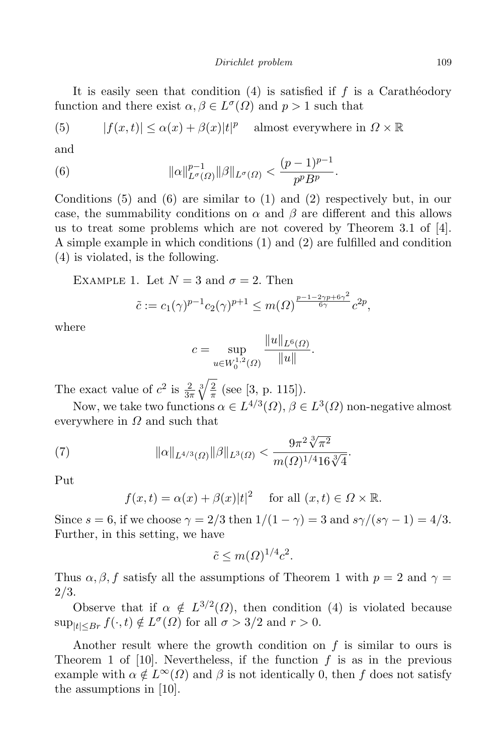It is easily seen that condition  $(4)$  is satisfied if f is a Caratheodory function and there exist  $\alpha, \beta \in L^{\sigma}(\Omega)$  and  $p > 1$  such that

(5) 
$$
|f(x,t)| \le \alpha(x) + \beta(x)|t|^p
$$
 almost everywhere in  $\Omega \times \mathbb{R}$ 

and

(6) 
$$
\|\alpha\|_{L^{\sigma}(\Omega)}^{p-1} \|\beta\|_{L^{\sigma}(\Omega)} < \frac{(p-1)^{p-1}}{p^p B^p}.
$$

Conditions  $(5)$  and  $(6)$  are similar to  $(1)$  and  $(2)$  respectively but, in our case, the summability conditions on  $\alpha$  and  $\beta$  are different and this allows us to treat some problems which are not covered by Theorem 3.1 of [4]. A simple example in which conditions (1) and (2) are fulfilled and condition (4) is violated, is the following.

EXAMPLE 1. Let  $N = 3$  and  $\sigma = 2$ . Then

$$
\tilde{c} := c_1(\gamma)^{p-1} c_2(\gamma)^{p+1} \le m(\Omega)^{\frac{p-1-2\gamma p + 6\gamma^2}{6\gamma}} c^{2p},
$$

where

$$
c = \sup_{u \in W_0^{1,2}(\Omega)} \frac{\|u\|_{L^6(\Omega)}}{\|u\|}.
$$

The exact value of  $c^2$  is  $\frac{2}{3\pi} \sqrt[3]{\frac{2}{\pi}}$  $\frac{2}{\pi}$  (see [3, p. 115]).

Now, we take two functions  $\alpha \in L^{4/3}(\Omega)$ ,  $\beta \in L^{3}(\Omega)$  non-negative almost everywhere in  $\Omega$  and such that

(7) 
$$
\|\alpha\|_{L^{4/3}(\Omega)} \|\beta\|_{L^3(\Omega)} < \frac{9\pi^2 \sqrt[3]{\pi^2}}{m(\Omega)^{1/4} 16\sqrt[3]{4}}.
$$

Put

$$
f(x,t) = \alpha(x) + \beta(x)|t|^2
$$
 for all  $(x,t) \in \Omega \times \mathbb{R}$ .

Since  $s = 6$ , if we choose  $\gamma = 2/3$  then  $1/(1 - \gamma) = 3$  and  $s\gamma/(s\gamma - 1) = 4/3$ . Further, in this setting, we have

$$
\tilde{c} \le m(\Omega)^{1/4} c^2.
$$

Thus  $\alpha, \beta, f$  satisfy all the assumptions of Theorem 1 with  $p = 2$  and  $\gamma =$ 2/3.

Observe that if  $\alpha \notin L^{3/2}(\Omega)$ , then condition (4) is violated because  $\sup_{|t| \le Br} f(\cdot, t) \notin L^{\sigma}(\Omega)$  for all  $\sigma > 3/2$  and  $r > 0$ .

Another result where the growth condition on  $f$  is similar to ours is Theorem 1 of [10]. Nevertheless, if the function  $f$  is as in the previous example with  $\alpha \notin L^{\infty}(\Omega)$  and  $\beta$  is not identically 0, then f does not satisfy the assumptions in [10].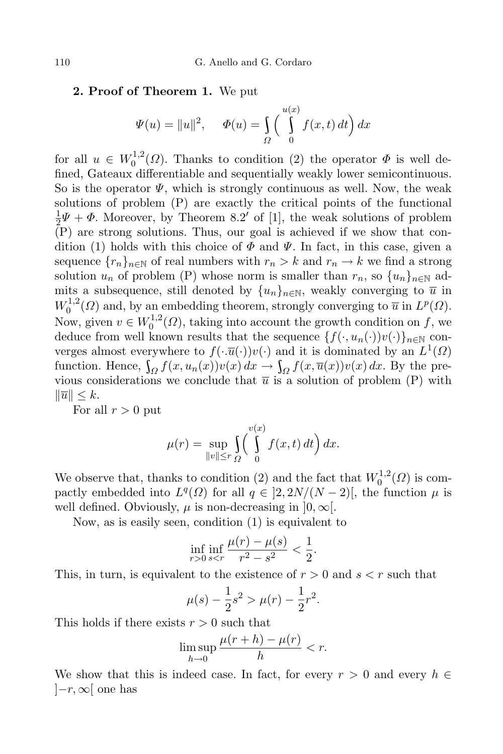## 2. Proof of Theorem 1. We put

$$
\Psi(u) = \|u\|^2, \quad \Phi(u) = \int_{\Omega} \left(\int_{0}^{u(x)} f(x, t) dt\right) dx
$$

for all  $u \in W_0^{1,2}$  $_0^{\text{L1,2}}(\Omega)$ . Thanks to condition (2) the operator  $\Phi$  is well defined, Gateaux differentiable and sequentially weakly lower semicontinuous. So is the operator  $\Psi$ , which is strongly continuous as well. Now, the weak solutions of problem (P) are exactly the critical points of the functional 1  $\frac{1}{2}\Psi + \Phi$ . Moreover, by Theorem 8.2' of [1], the weak solutions of problem (P) are strong solutions. Thus, our goal is achieved if we show that condition (1) holds with this choice of  $\Phi$  and  $\Psi$ . In fact, in this case, given a sequence  $\{r_n\}_{n\in\mathbb{N}}$  of real numbers with  $r_n > k$  and  $r_n \to k$  we find a strong solution  $u_n$  of problem (P) whose norm is smaller than  $r_n$ , so  $\{u_n\}_{n\in\mathbb{N}}$  admits a subsequence, still denoted by  $\{u_n\}_{n\in\mathbb{N}}$ , weakly converging to  $\overline{u}$  in  $W^{1,2}_0$  $L^{1,2}(\Omega)$  and, by an embedding theorem, strongly converging to  $\overline{u}$  in  $L^p(\Omega)$ . Now, given  $v \in W_0^{1,2}$  $\int_0^{1,2}$  ( $\Omega$ ), taking into account the growth condition on f, we deduce from well known results that the sequence  $\{f(\cdot, u_n(\cdot))v(\cdot)\}_{n\in\mathbb{N}}$  converges almost everywhere to  $f(\cdot,\overline{u}(\cdot))v(\cdot)$  and it is dominated by an  $L^1(\Omega)$ function. Hence,  $\int_{\Omega} f(x, u_n(x)) v(x) dx \rightarrow \int_{\Omega} f(x, \overline{u}(x)) v(x) dx$ . By the previous considerations we conclude that  $\overline{u}$  is a solution of problem (P) with  $\|\overline{u}\| \leq k.$ 

For all  $r > 0$  put

$$
\mu(r) = \sup_{\|v\| \le r} \int_{\Omega} \left(\int_{0}^{v(x)} f(x, t) dt\right) dx.
$$

We observe that, thanks to condition (2) and the fact that  $W_0^{1,2}$  $_{0}^{\prime 1,2}(\Omega)$  is compactly embedded into  $L^q(\Omega)$  for all  $q \in ]2, 2N/(N-2)]$ , the function  $\mu$  is well defined. Obviously,  $\mu$  is non-decreasing in  $[0,\infty]$ .

Now, as is easily seen, condition (1) is equivalent to

$$
\inf_{r>0} \inf_{s
$$

This, in turn, is equivalent to the existence of  $r > 0$  and  $s < r$  such that

$$
\mu(s) - \frac{1}{2}s^2 > \mu(r) - \frac{1}{2}r^2.
$$

This holds if there exists  $r > 0$  such that

$$
\limsup_{h \to 0} \frac{\mu(r+h) - \mu(r)}{h} < r.
$$

We show that this is indeed case. In fact, for every  $r > 0$  and every  $h \in$  $[-r,\infty]$  one has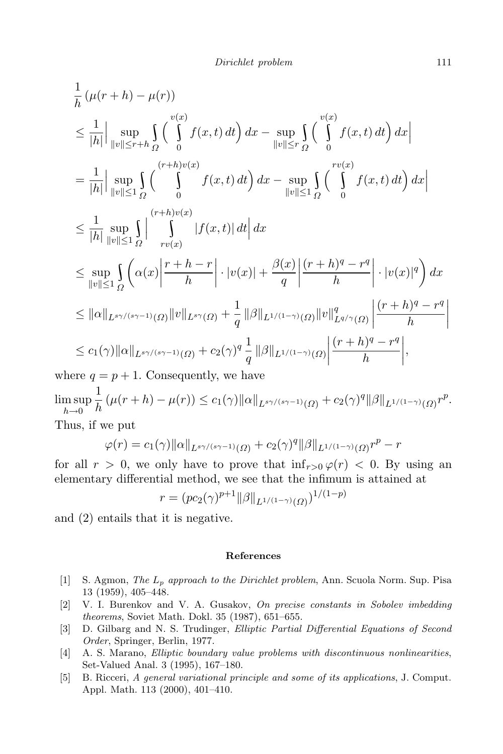$$
\frac{1}{h}(\mu(r+h) - \mu(r))
$$
\n
$$
\leq \frac{1}{|h|} \Big| \sup_{\|v\| \leq r+h} \int_{\Omega} \left( \int_{0}^{v(x)} f(x,t) dt \right) dx - \sup_{\|v\| \leq r} \int_{\Omega} \left( \int_{0}^{v(x)} f(x,t) dt \right) dx \Big|
$$
\n
$$
= \frac{1}{|h|} \Big| \sup_{\|v\| \leq 1} \int_{\Omega} \left( \int_{0}^{(r+h)v(x)} f(x,t) dt \right) dx - \sup_{\|v\| \leq 1} \int_{\Omega} \left( \int_{0}^{rv(x)} f(x,t) dt \right) dx \Big|
$$
\n
$$
\leq \frac{1}{|h|} \sup_{\|v\| \leq 1} \int_{\Omega} \left| \int_{rv(x)}^{(r+h)v(x)} |f(x,t)| dt \Big| dx
$$
\n
$$
\leq \sup_{\|v\| \leq 1} \int_{\Omega} \left( \alpha(x) \Big| \frac{r+h-r}{h} \Big| \cdot |v(x)| + \frac{\beta(x)}{q} \Big| \frac{(r+h)^{q} - r^{q}}{h} \Big| \cdot |v(x)|^{q} \right) dx
$$
\n
$$
\leq \|\alpha\|_{L^{s\gamma/(s\gamma-1)}(\Omega)} \|v\|_{L^{s\gamma}(\Omega)} + \frac{1}{q} \|\beta\|_{L^{1/(1-\gamma)}(\Omega)} \|v\|_{L^{q/\gamma}(\Omega)}^{q} \Big| \frac{(r+h)^{q} - r^{q}}{h} \Big|
$$
\n
$$
\leq c_1(\gamma) \|\alpha\|_{L^{s\gamma/(s\gamma-1)}(\Omega)} + c_2(\gamma)^{q} \frac{1}{q} \|\beta\|_{L^{1/(1-\gamma)}(\Omega)} \Big| \frac{(r+h)^{q} - r^{q}}{h} \Big|,
$$
\nare a = n + 1. Consequently, we have

where  $q = p + 1$ . Consequently, we have

$$
\limsup_{h \to 0} \frac{1}{h} (\mu(r+h) - \mu(r)) \le c_1(\gamma) ||\alpha||_{L^{s\gamma/(s\gamma-1)}(\Omega)} + c_2(\gamma)^q ||\beta||_{L^{1/(1-\gamma)}(\Omega)} r^p.
$$
  
Thus, if we put

Thus, if we put

$$
\varphi(r) = c_1(\gamma) ||\alpha||_{L^{s\gamma/(s\gamma-1)}(\Omega)} + c_2(\gamma)^q ||\beta||_{L^{1/(1-\gamma)}(\Omega)} r^p - r
$$

for all  $r > 0$ , we only have to prove that  $\inf_{r>0} \varphi(r) < 0$ . By using an elementary differential method, we see that the infimum is attained at

$$
r = (pc_2(\gamma)^{p+1} ||\beta||_{L^{1/(1-\gamma)}(\Omega)})^{1/(1-p)}
$$

and (2) entails that it is negative.

## References

- [1] S. Agmon, The L<sup>p</sup> approach to the Dirichlet problem, Ann. Scuola Norm. Sup. Pisa 13 (1959), 405–448.
- [2] V. I. Burenkov and V. A. Gusakov, On precise constants in Sobolev imbedding theorems, Soviet Math. Dokl. 35 (1987), 651–655.
- [3] D. Gilbarg and N. S. Trudinger, Elliptic Partial Differential Equations of Second Order, Springer, Berlin, 1977.
- [4] A. S. Marano, Elliptic boundary value problems with discontinuous nonlinearities, Set-Valued Anal. 3 (1995), 167–180.
- [5] B. Ricceri, A general variational principle and some of its applications, J. Comput. Appl. Math. 113 (2000), 401–410.